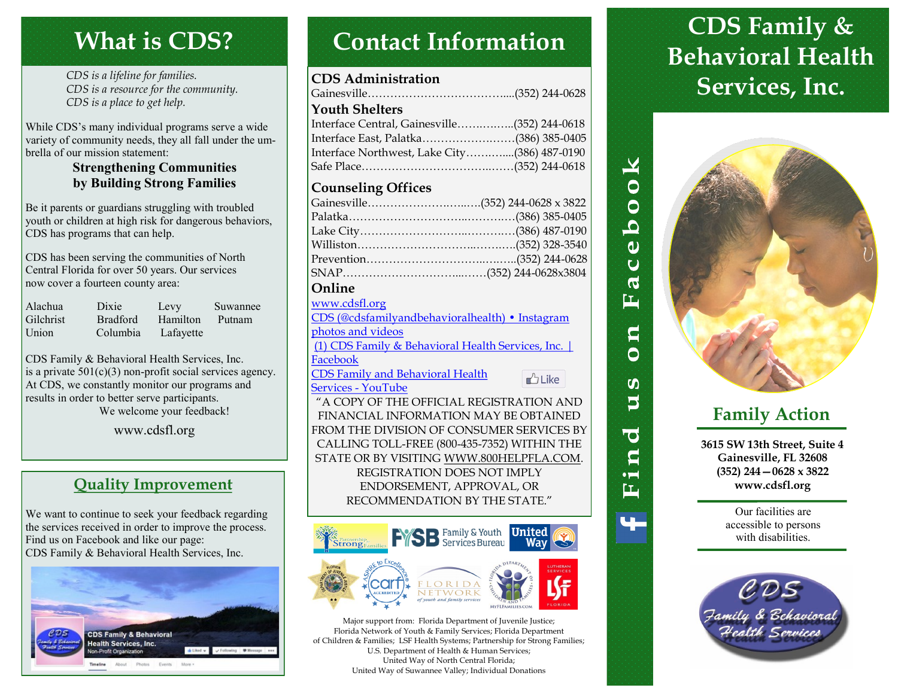## **What is CDS?**

*CDS is a lifeline for families. CDS is a resource for the community. CDS is a place to get help.*

While CDS's many individual programs serve a wide variety of community needs, they all fall under the umbrella of our mission statement:

#### **Strengthening Communities by Building Strong Families**

Be it parents or guardians struggling with troubled youth or children at high risk for dangerous behaviors, CDS has programs that can help.

CDS has been serving the communities of North Central Florida for over 50 years. Our services now cover a fourteen county area:

| Alachua          | Dixie           | Levy      | Suwannee |
|------------------|-----------------|-----------|----------|
| <b>Gilchrist</b> | <b>Bradford</b> | Hamilton  | Putnam   |
| Union            | Columbia        | Lafayette |          |

CDS Family & Behavioral Health Services, Inc. is a private  $501(c)(3)$  non-profit social services agency. At CDS, we constantly monitor our programs and results in order to better serve participants. We welcome your feedback!

www.cdsfl.org

## **Quality Improvement**

We want to continue to seek your feedback regarding the services received in order to improve the process. Find us on Facebook and like our page: CDS Family & Behavioral Health Services, Inc.



# **Contact Information**

#### **CDS Administration**

| <b>Youth Shelters</b>                        |  |
|----------------------------------------------|--|
| Interface Central, Gainesville(352) 244-0618 |  |
| Interface East, Palatka(386) 385-0405        |  |
| Interface Northwest, Lake City(386) 487-0190 |  |
|                                              |  |
|                                              |  |

#### **Counseling Offices**

| Gainesville(352) 244-0628 x 3822        |  |
|-----------------------------------------|--|
|                                         |  |
|                                         |  |
|                                         |  |
|                                         |  |
|                                         |  |
| $\Omega_{\text{m}}$ $\Omega_{\text{m}}$ |  |

#### **Online**

| www.cdsfl.org                                     |               |  |  |
|---------------------------------------------------|---------------|--|--|
| CDS (@cdsfamilyandbehavioralhealth) · Instagram   |               |  |  |
| photos and videos                                 |               |  |  |
| (1) CDS Family & Behavioral Health Services, Inc. |               |  |  |
| Facebook                                          |               |  |  |
| <b>CDS Family and Behavioral Health</b>           | <b>D</b> Like |  |  |
| Services - YouTube                                |               |  |  |
| "A COPY OF THE OFFICIAL REGISTRATION AND          |               |  |  |
| FINANCIAL INFORMATION MAY BE OBTAINED             |               |  |  |

FINANCIAL INFORMATION MAY BE OBTAINED FROM THE DIVISION OF CONSUMER SERVICES BY CALLING TOLL-FREE (800-435-7352) WITHIN THE STATE OR BY VISITING WWW.800HELPFLA.COM. REGISTRATION DOES NOT IMPLY ENDORSEMENT, APPROVAL, OR RECOMMENDATION BY THE STATE."



Major support from: Florida Department of Juvenile Justice; Florida Network of Youth & Family Services; Florida Department of Children & Families; LSF Health Systems; Partnership for Strong Families; U.S. Department of Health & Human Services; United Way of North Central Florida; United Way of Suwannee Valley; Individual Donations

# **CDS Family & Behavioral Health Services, Inc.**



 $\blacktriangleright$ 

 $\overline{50}$ 

Ô Ö <u>. Leg</u> ĖĹ

> $\mathbf{q}$ Ô

**SO** S

**O** g  $\bullet$   $\blacksquare$ 匞

## **Family Action**

**3615 SW 13th Street, Suite 4 Gainesville, FL 32608 (352) 244—0628 x 3822 www.cdsfl.org**

> Our facilities are accessible to persons with disabilities.